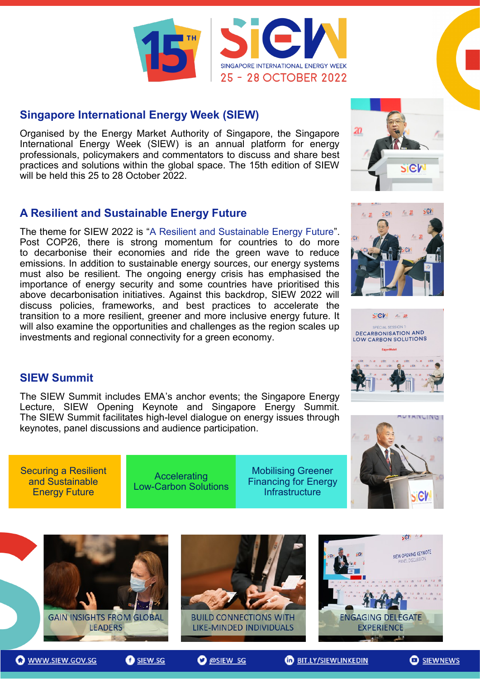

#### **[Singapore International Energy Week \(SIEW\)](https://www.siew.gov.sg/)**

Organised by the Energy Market Authority of Singapore, the Singapore International Energy Week (SIEW) is an annual platform for energy professionals, policymakers and commentators to discuss and share best practices and solutions within the global space. The 15th edition of SIEW will be held this 25 to 28 October 2022.

# **[A Resilient and Sustainable Energy Future](https://www.siew.gov.sg/)**

The theme for SIEW 2022 is "A Resilient and Sustainable Energy Future". Post COP26, there is strong momentum for countries to do more to decarbonise their economies and ride the green wave to reduce emissions. In addition to sustainable energy sources, our energy systems must also be resilient. The ongoing energy crisis has emphasised the importance of energy security and some countries have prioritised this above decarbonisation initiatives. Against this backdrop, SIEW 2022 will discuss policies, frameworks, and best practices to accelerate the transition to a more resilient, greener and more inclusive energy future. It will also examine the opportunities and challenges as the region scales up investments and regional connectivity for a green economy.







#### **SIEW Summit**

The SIEW Summit includes EMA's anchor events; the Singapore Energy Lecture, SIEW Opening Keynote and Singapore Energy Summit. The SIEW Summit facilitates high-level dialogue on energy issues through keynotes, panel discussions and audience participation.

[Securing a Resilient](http://www.siew.gov.sg/)  and Sustainable **Energy Future** 

**Accelerating** Low-[Carbon Solutions](http://www.siew.gov.sg/)

Mobilising Greener [Financing for Energy](http://www.siew.gov.sg/)  **Infrastructure** 





**O** @SIEW SG

**O** SIEW.SG



**O** SIEWNEWS